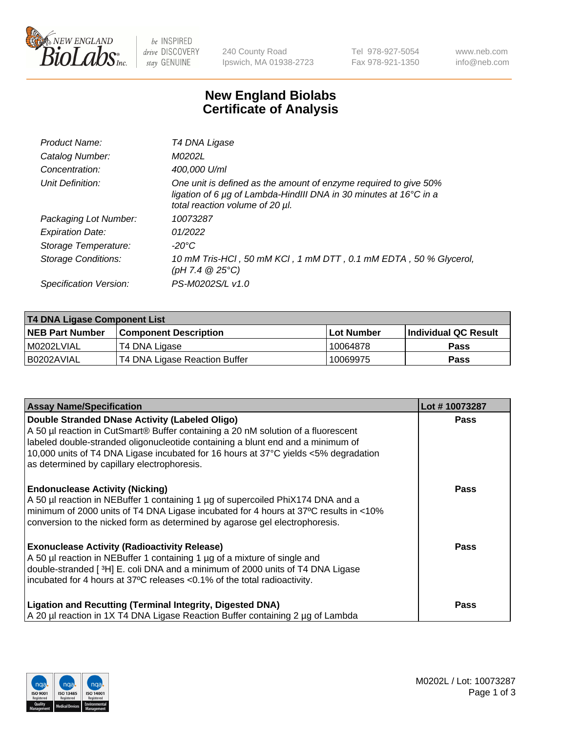

 $be$  INSPIRED drive DISCOVERY stay GENUINE

240 County Road Ipswich, MA 01938-2723 Tel 978-927-5054 Fax 978-921-1350 www.neb.com info@neb.com

## **New England Biolabs Certificate of Analysis**

| Product Name:           | T4 DNA Ligase                                                                                                                                                            |
|-------------------------|--------------------------------------------------------------------------------------------------------------------------------------------------------------------------|
| Catalog Number:         | M0202L                                                                                                                                                                   |
| Concentration:          | 400,000 U/ml                                                                                                                                                             |
| Unit Definition:        | One unit is defined as the amount of enzyme required to give 50%<br>ligation of 6 µg of Lambda-HindIII DNA in 30 minutes at 16°C in a<br>total reaction volume of 20 µl. |
| Packaging Lot Number:   | 10073287                                                                                                                                                                 |
| <b>Expiration Date:</b> | 01/2022                                                                                                                                                                  |
| Storage Temperature:    | -20°C                                                                                                                                                                    |
| Storage Conditions:     | 10 mM Tris-HCl, 50 mM KCl, 1 mM DTT, 0.1 mM EDTA, 50 % Glycerol,<br>(pH 7.4 $@25°C$ )                                                                                    |
| Specification Version:  | PS-M0202S/L v1.0                                                                                                                                                         |

| T4 DNA Ligase Component List |                               |            |                             |  |
|------------------------------|-------------------------------|------------|-----------------------------|--|
| <b>NEB Part Number</b>       | <b>Component Description</b>  | Lot Number | <b>Individual QC Result</b> |  |
| I M0202LVIAL                 | T4 DNA Ligase                 | 10064878   | Pass                        |  |
| I B0202AVIAL                 | T4 DNA Ligase Reaction Buffer | 10069975   | <b>Pass</b>                 |  |

| <b>Assay Name/Specification</b>                                                                                                                                                                                                                                                                                                                 | Lot #10073287 |
|-------------------------------------------------------------------------------------------------------------------------------------------------------------------------------------------------------------------------------------------------------------------------------------------------------------------------------------------------|---------------|
| Double Stranded DNase Activity (Labeled Oligo)<br>A 50 µl reaction in CutSmart® Buffer containing a 20 nM solution of a fluorescent<br>labeled double-stranded oligonucleotide containing a blunt end and a minimum of<br>10,000 units of T4 DNA Ligase incubated for 16 hours at 37°C yields <5% degradation                                   | <b>Pass</b>   |
| as determined by capillary electrophoresis.<br><b>Endonuclease Activity (Nicking)</b><br>A 50 µl reaction in NEBuffer 1 containing 1 µg of supercoiled PhiX174 DNA and a<br>minimum of 2000 units of T4 DNA Ligase incubated for 4 hours at 37°C results in <10%<br>conversion to the nicked form as determined by agarose gel electrophoresis. | <b>Pass</b>   |
| <b>Exonuclease Activity (Radioactivity Release)</b><br>A 50 µl reaction in NEBuffer 1 containing 1 µg of a mixture of single and<br>double-stranded [3H] E. coli DNA and a minimum of 2000 units of T4 DNA Ligase<br>incubated for 4 hours at 37°C releases <0.1% of the total radioactivity.                                                   | <b>Pass</b>   |
| <b>Ligation and Recutting (Terminal Integrity, Digested DNA)</b><br>A 20 µl reaction in 1X T4 DNA Ligase Reaction Buffer containing 2 µg of Lambda                                                                                                                                                                                              | <b>Pass</b>   |

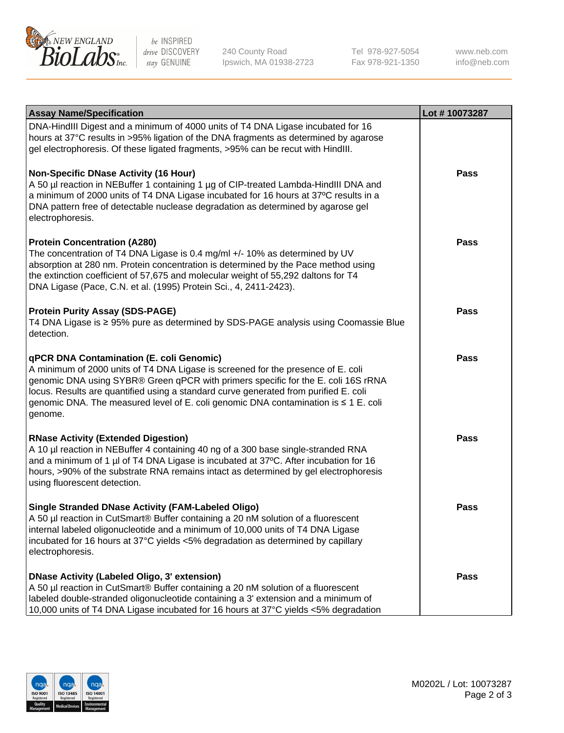

be INSPIRED drive DISCOVERY stay GENUINE

240 County Road Ipswich, MA 01938-2723 Tel 978-927-5054 Fax 978-921-1350

www.neb.com info@neb.com

| <b>Assay Name/Specification</b>                                                                                                                                                                                                                                                                                                                                                                             | Lot #10073287 |
|-------------------------------------------------------------------------------------------------------------------------------------------------------------------------------------------------------------------------------------------------------------------------------------------------------------------------------------------------------------------------------------------------------------|---------------|
| DNA-HindIII Digest and a minimum of 4000 units of T4 DNA Ligase incubated for 16<br>hours at 37°C results in >95% ligation of the DNA fragments as determined by agarose<br>gel electrophoresis. Of these ligated fragments, >95% can be recut with HindIII.                                                                                                                                                |               |
| <b>Non-Specific DNase Activity (16 Hour)</b><br>A 50 µl reaction in NEBuffer 1 containing 1 µg of CIP-treated Lambda-HindIII DNA and<br>a minimum of 2000 units of T4 DNA Ligase incubated for 16 hours at 37°C results in a<br>DNA pattern free of detectable nuclease degradation as determined by agarose gel<br>electrophoresis.                                                                        | <b>Pass</b>   |
| <b>Protein Concentration (A280)</b><br>The concentration of T4 DNA Ligase is 0.4 mg/ml +/- 10% as determined by UV<br>absorption at 280 nm. Protein concentration is determined by the Pace method using<br>the extinction coefficient of 57,675 and molecular weight of 55,292 daltons for T4<br>DNA Ligase (Pace, C.N. et al. (1995) Protein Sci., 4, 2411-2423).                                         | Pass          |
| <b>Protein Purity Assay (SDS-PAGE)</b><br>T4 DNA Ligase is ≥ 95% pure as determined by SDS-PAGE analysis using Coomassie Blue<br>detection.                                                                                                                                                                                                                                                                 | <b>Pass</b>   |
| qPCR DNA Contamination (E. coli Genomic)<br>A minimum of 2000 units of T4 DNA Ligase is screened for the presence of E. coli<br>genomic DNA using SYBR® Green qPCR with primers specific for the E. coli 16S rRNA<br>locus. Results are quantified using a standard curve generated from purified E. coli<br>genomic DNA. The measured level of E. coli genomic DNA contamination is ≤ 1 E. coli<br>genome. | <b>Pass</b>   |
| <b>RNase Activity (Extended Digestion)</b><br>A 10 µl reaction in NEBuffer 4 containing 40 ng of a 300 base single-stranded RNA<br>and a minimum of 1 µl of T4 DNA Ligase is incubated at 37°C. After incubation for 16<br>hours, >90% of the substrate RNA remains intact as determined by gel electrophoresis<br>using fluorescent detection.                                                             | <b>Pass</b>   |
| <b>Single Stranded DNase Activity (FAM-Labeled Oligo)</b><br>A 50 µl reaction in CutSmart® Buffer containing a 20 nM solution of a fluorescent<br>internal labeled oligonucleotide and a minimum of 10,000 units of T4 DNA Ligase<br>incubated for 16 hours at 37°C yields <5% degradation as determined by capillary<br>electrophoresis.                                                                   | Pass          |
| <b>DNase Activity (Labeled Oligo, 3' extension)</b><br>A 50 µl reaction in CutSmart® Buffer containing a 20 nM solution of a fluorescent<br>labeled double-stranded oligonucleotide containing a 3' extension and a minimum of<br>10,000 units of T4 DNA Ligase incubated for 16 hours at 37°C yields <5% degradation                                                                                       | Pass          |